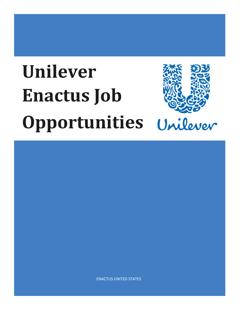# **Unilever Enactus Job Opportunities**



ENACTUS UNITED STATES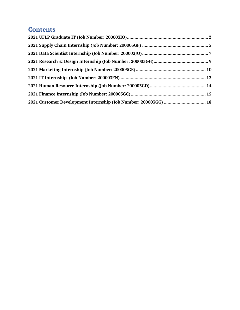# **Contents**

| 2021 Customer Development Internship (Job Number: 200003GG)  18 |  |
|-----------------------------------------------------------------|--|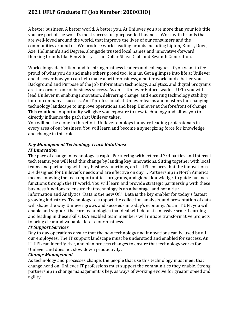# <span id="page-2-0"></span>**2021 UFLP Graduate IT (Job Number: 200003IO)**

A better business. A better world. A better you. At Unilever you are more than your job title, you are part of the world's most successful, purpose-led business. Work with brands that are well-loved around the world, that improve the lives of our consumers and the communities around us. We produce world-leading brands including Lipton, Knorr, Dove, Axe, Hellmann's and Degree, alongside trusted local names and innovative-forward thinking brands like Ben & Jerry's, The Dollar Shave Club and Seventh Generation.

Work alongside brilliant and inspiring business leaders and colleagues. If you want to feel proud of what you do and make others proud too, join us. Get a glimpse into life at Unilever and discover how you can help make a better business, a better world and a better you. Background and Purpose of the Job Information technology, analytics, and digital programs are the cornerstone of business success. As an IT Unilever Future Leader (UFL) you will lead Unilever in enabling innovation, delivering change, and ensuring technology stability for our company's success. An IT professional at Unilever learns and masters the changing technology landscape to improve operations and keep Unilever at the forefront of change. This rotational opportunity will give you exposure to new technology and allow you to directly influence the path that Unilever takes.

You will not be alone in this effort. Unilever employs industry leading professionals in every area of our business. You will learn and become a synergizing force for knowledge and change in this role.

#### *Key Management Technology Track Rotations: IT Innovation*

The pace of change in technology is rapid. Partnering with external 3rd parties and internal tech teams, you will lead this change by landing key innovations. Sitting together with local teams and partnering with key business functions, an IT UFL ensures that the innovations are designed for Unilever's needs and are effective on day 1. Partnership in North America means knowing the tech opportunities, programs, and global knowledge, to guide business functions through the IT world. You will learn and provide strategic partnership with these business functions to ensure that technology is an advantage, and not a risk. Information and Analytics "Data is the new Oil". Data is the key enabler for today's fastest

growing industries. Technology to support the collection, analysis, and presentation of data will shape the way Unilever grows and succeeds in today's economy. As an IT UFL you will enable and support the core technologies that deal with data at a massive scale. Learning and leading in these skills, I&A enabled team members will initiate transformative projects to bring clear and valuable data to our business.

#### *IT Support Services*

Day to day operations ensure that the new technology and innovations can be used by all our employees. The IT support landscape must be understood and enabled for success. An IT UFL can identify risk, and plan process changes to ensure that technology works for Unilever and does not slow down productivity.

#### *Change Management*

As technology and processes change, the people that use this technology must meet that change head on. Unilever IT professions must support the communities they enable. Strong partnership in change management is key, as ways of working evolve for greater speed and agility.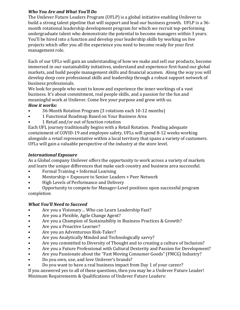# *Who You Are and What You'll Do*

The Unilever Future Leaders Program (UFLP) is a global initiative enabling Unilever to build a strong talent pipeline that will support and lead our business growth. UFLP is a 36 month rotational leadership development program for which we recruit top-performing undergraduate talent who demonstrate the potential to become managers within 3 years. You'll be hired into a function and develop your leadership skills by working on live projects which offer you all the experience you need to become ready for your first management role.

Each of our UFLs will gain an understanding of how we make and sell our products, become immersed in our sustainability initiatives, understand and experience first-hand our global markets, and build people management skills and financial acumen. Along the way you will develop deep core professional skills and leadership through a robust support network of business professionals.

We look for people who want to know and experience the inner workings of a vast business. It's about commitment, real people skills, and a passion for the fun and meaningful work at Unilever. Come live your purpose and grow with us.

# *How it works:*

- 36-Month Rotation Program (3 rotations each 10-12 months)
- 1 Functional Roadmap Based on Your Business Area
- 1 Retail and/or out of function rotation

Each UFL journey traditionally begins with a Retail Rotation. Pending adequate containment of COVID-19 and employee safety, UFLs will spend 8-12 weeks working alongside a retail representative within a local territory that spans a variety of customers. UFLs will gain a valuable perspective of the industry at the store level.

# *International Exposure*

As a Global company Unilever offers the opportunity to work across a variety of markets and learn the unique differences that make each country and business area successful.

- Formal Training + Informal Learning<br>• Mentorship + Exposure to Senior Lead
- Mentorship + Exposure to Senior Leaders + Peer Network<br>• High Levels of Performance and Delivery
- High Levels of Performance and Delivery
- Opportunity to compete for Manager-Level positions upon successful program completion

# *What You'll Need to Succeed*

- Are you a Visionary... Who can Learn Leadership Fast?<br>• Are you a Flexible, Agile Change Agent?
- Are you a Flexible, Agile Change Agent?
- Are you a Champion of Sustainability in Business Practices & Growth?<br>• Are you a Proactive Learner?
- Are you a Proactive Learner?
- Are you an Adventurous Risk-Taker?
- Are you Analytically Minded and Technologically savvy?<br>• Are you committed to Diversity of Thought and to creatin
- Are you committed to Diversity of Thought and to creating a culture of Inclusion?
- Are you a Future Professional with Cultural Dexterity and Passion for Development?
- Are you Passionate about the "Fast Moving Consumer Goods" (FMCG) Industry?<br>• Do you own, use, and love Unilever's brands?
- Do you own, use, and love Unilever's brands?
- Do you want to have a real business impact from Day 1 of your career?

If you answered yes to all of these questions, then you may be a Unilever Future Leader! Minimum Requirements & Qualifications of Unilever Future Leaders: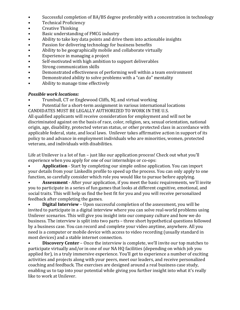- Successful completion of BA/BS degree preferably with a concentration in technology<br>• Technical Proficiency
- Technical Proficiency<br>• Creative Thinking
- Creative Thinking<br>• Basic understandir
- Basic understanding of FMCG industry<br>• Ability to take key data points and drive
- Ability to take key data points and drive them into actionable insights<br>• Passion for delivering technology for business benefits
- Passion for delivering technology for business benefits<br>• Ability to be geographically mobile and collaborate virt
- Ability to be geographically mobile and collaborate virtually<br>• Experience in managing a project
- Experience in managing a project<br>• Self-motivated with high ambition
- Self-motivated with high ambition to support deliverables<br>• Strong communication skills
- Strong communication skills
- Demonstrated effectiveness of performing well within a team environment<br>• Demonstrated ability to solve problems with a "can do" mentality
- Demonstrated ability to solve problems with a "can do" mentality<br>• Ability to manage time effectively
- Ability to manage time effectively

#### *Possible work locations:*

- Trumbull, CT or Englewood Cliffs, NJ, and virtual working
- Potential for a short-term assignment in various international locations CANDIDATES MUST BE LEGALLY AUTHORIZED TO WORK IN THE U.S.

All qualified applicants will receive consideration for employment and will not be discriminated against on the basis of race, color, religion, sex, sexual orientation, national origin, age, disability, protected veteran status, or other protected class in accordance with applicable federal, state, and local laws. Unilever takes affirmative action in support of its policy to and advance in employment individuals who are minorities, women, protected veterans, and individuals with disabilities.

Life at Unilever is a lot of fun – just like our application process! Check out what you'll experience when you apply for one of our internships or co-ops:

• **Application** - Start by completing our simple online application. You can import your details from your LinkedIn profile to speed up the process. You can only apply to one function, so carefully consider which role you would like to pursue before applying.

• **Assessment** - After your application, if you meet the basic requirements, we'll invite you to participate in a series of fun games that looks at different cognitive, emotional, and social traits. This will help us find the best fit for you and you will receive personalized feedback after completing the games.

• **Digital Interview** – Upon successful completion of the assessment, you will be invited to participate in a digital interview where you can solve real-world problems using Unilever scenarios. This will give you insight into our company culture and how we do business. The interview is split into two parts – three short hypothetical questions followed by a business case. You can record and complete your video anytime, anywhere. All you need is a computer or mobile device with access to video recording (usually standard in most devices) and a stable internet connection.<br>• Discovery Center – Once the interview interview

• **Discovery Center** – Once the interview is complete, we'll invite our top matches to participate virtually and/or in one of our NA HQ facilities (depending on which job you applied for), in a truly immersive experience. You'll get to experience a number of exciting activities and projects along with your peers, meet our leaders, and receive personalized coaching and feedback. The exercises are designed around a real business case study, enabling us to tap into your potential while giving you further insight into what it's really like to work at Unilever.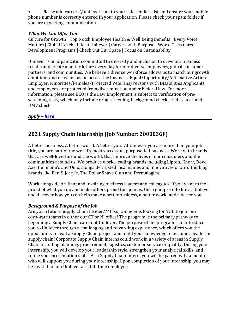• Please add careers@unilever.com to your safe senders list, and ensure your mobile phone number is correctly entered in your application. Please check your spam folder if you are expecting communication

#### *What We Can Offer You*

Culture for Growth | Top Notch Employee Health & Well Being Benefits | Every Voice Matters | Global Reach | Life at Unilever | Careers with Purpose | World Class Career Development Programs | Check Out Our Space | Focus on Sustainability

Unilever is an organization committed to diversity and inclusion to drive our business results and create a better future every day for our diverse employees, global consumers, partners, and communities. We believe a diverse workforce allows us to match our growth ambitions and drive inclusion across the business. Equal Opportunity/Affirmative Action Employer. Minorities/Females/Protected Veterans/Persons with Disabilities Applicants and employees are protected from discrimination under Federal law. For more information, please see EEO is the Law Employment is subject to verification of prescreening tests, which may include drug screening, background check, credit check and DMV check.

# *Apply – [here](https://unilever.taleo.net/careersection/iam/accessmanagement/login.jsf?lang=en&redirectionURI=https%3A%2F%2Funilever.taleo.net%2Fcareersection%2Fapplication.jss%3Flang%3Den%26type%3D1%26csNo%3D10040%26portal%3D6170030171%26reqNo%3D1129675%26isOnLogoutPage%3Dtrue&TARGET=https%3A%2F%2Funilever.taleo.net%2Fcareersection%2Fapplication.jss%3Flang%3Den%26type%3D1%26csNo%3D10040%26portal%3D6170030171%26reqNo%3D1129675%26isOnLogoutPage%3Dtrue)*

# <span id="page-5-0"></span>**2021 Supply Chain Internship (Job Number: 200003GF)**

A better business. A better world. A better you. At Unilever you are more than your job title, you are part of the world's most successful, purpose-led business. Work with brands that are well-loved around the world, that improve the lives of our consumers and the communities around us. We produce world-leading brands including Lipton, Knorr, Dove, Axe, Hellmann's and Omo, alongside trusted local names and innovative-forward thinking brands like Ben & Jerry's, The Dollar Shave Club and Dermalogica.

Work alongside brilliant and inspiring business leaders and colleagues. If you want to feel proud of what you do and make others proud too, join us. Get a glimpse into life at Unilever and discover how you can help make a better business, a better world and a better you.

#### *Background & Purpose of the Job*

Are you a future Supply Chain Leader??? If so, Unilever is looking for YOU to join our corporate teams in either our CT or NJ office! The program is the primary pathway to beginning a Supply Chain career at Unilever. The purpose of the program is to introduce you to Unilever through a challenging and rewarding experience, which offers you the opportunity to lead a Supply Chain project and build your knowledge to become a leader in supply chain! Corporate Supply Chain interns could work in a variety of areas in Supply Chain including planning, procurement, logistics, customer service or quality. During your internship, you will develop your leadership style, strengthen your analytical skills, and refine your presentation skills. As a Supply Chain intern, you will be paired with a mentor who will support you during your internship. Upon completion of your internship, you may be invited to join Unilever as a full-time employee.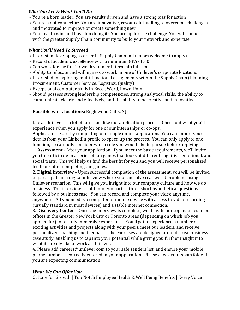#### *Who You Are & What You'll Do*

- You're a born leader: You are results driven and have a strong bias for action
- You're a dot connector: You are innovative, resourceful, willing to overcome challenges and motivated to improve or create something new
- You love to win, and have fun doing it: You are up for the challenge. You will connect with the greater Supply Chain community to build your network and expertise.

# *What You'll Need To Succeed*

- Interest in developing a career in Supply Chain (all majors welcome to apply)
- Record of academic excellence with a minimum GPA of 3.0
- Can work for the full 10-week summer internship full time
- Ability to relocate and willingness to work in one of Unilever's corporate locations
- Interested in exploring multi-functional assignments within the Supply Chain (Planning, Procurement, Customer Service, Logistics, Quality)
- Exceptional computer skills in Excel, Word, PowerPoint
- Should possess strong leadership competencies; strong analytical skills; the ability to communicate clearly and effectively, and the ability to be creative and innovative

# **Possible work locations:** Englewood Cliffs, NJ

Life at Unilever is a lot of fun – just like our application process! Check out what you'll experience when you apply for one of our internships or co-ops:

Application - Start by completing our simple online application.  You can import your details from your LinkedIn profile to speed up the process.  You can only apply to one function, so carefully consider which role you would like to pursue before applying. 1. **Assessment -** After your application, if you meet the basic requirements, we'll invite

you to participate in a series of fun games that looks at different cognitive, emotional, and social traits.  This will help us find the best fit for you and you will receive personalized feedback after completing the games.

2. **Digital Interview** – Upon successful completion of the assessment, you will be invited to participate in a digital interview where you can solve real-world problems using Unilever scenarios.  This will give you insight into our company culture and how we do business.  The interview is split into two parts – three short hypothetical questions followed by a business case.  You can record and complete your video anytime, anywhere.  All you need is a computer or mobile device with access to video recording (usually standard in most devices) and a stable internet connection.

3. **Discovery Center** – Once the interview is complete, we'll invite our top matches to our offices in the Greater New York City or Toronto areas (depending on which job you applied for) for a truly immersive experience.  You'll get to experience a number of exciting activities and projects along with your peers, meet our leaders, and receive personalized coaching and feedback.  The exercises are designed around a real business case study, enabling us to tap into your potential while giving you further insight into what it's really like to work at Unilever.

4. Please add careers@unilever.com to your safe senders list, and ensure your mobile phone number is correctly entered in your application. Please check your spam folder if you are expecting communication

# *What We Can Offer You*

Culture for Growth | Top Notch Employee Health & Well Being Benefits | Every Voice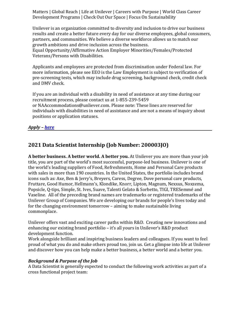Matters | Global Reach | Life at Unilever | Careers with Purpose | World Class Career Development Programs | Check Out Our Space | Focus On Sustainability

Unilever is an organization committed to diversity and inclusion to drive our business results and create a better future every day for our diverse employees, global consumers, partners, and communities. We believe a diverse workforce allows us to match our growth ambitions and drive inclusion across the business. 

Equal Opportunity/Affirmative Action Employer Minorities/Females/Protected Veterans/Persons with Disabilities.

Applicants and employees are protected from discrimination under Federal law. For more information, please see EEO is the Law Employment is subject to verification of pre-screening tests, which may include drug screening, background check, credit check and DMV check. 

If you are an individual with a disability in need of assistance at any time during our recruitment process, please contact us at 1-855-239-5459 or NAAccommodations@unliever.com. Please note: These lines are reserved for individuals with disabilities in need of assistance and are not a means of inquiry about positions or application statuses.

*Apply – [here](https://unilever.taleo.net/careersection/iam/accessmanagement/login.jsf?lang=en&redirectionURI=https%3A%2F%2Funilever.taleo.net%2Fcareersection%2Fapplication.jss%3Flang%3Den%26type%3D1%26csNo%3D10040%26portal%3D6170030171%26reqNo%3D1129675%26isOnLogoutPage%3Dtrue&TARGET=https%3A%2F%2Funilever.taleo.net%2Fcareersection%2Fapplication.jss%3Flang%3Den%26type%3D1%26csNo%3D10040%26portal%3D6170030171%26reqNo%3D1129675%26isOnLogoutPage%3Dtrue)*

# <span id="page-7-0"></span>**2021 Data Scientist Internship (Job Number: 200003JO)**

**A better business. A better world. A better you.** At Unilever you are more than your job title, you are part of the world's most successful, purpose-led business. Unilever is one of the world's leading suppliers of Food, Refreshments, Home and Personal Care products with sales in more than 190 countries. In the United States, the portfolio includes brand icons such as: Axe, Ben & Jerry's, Breyers, Caress, Degree, Dove personal care products, Fruttare, Good Humor, Hellmann's, Klondike, Knorr, Lipton, Magnum, Nexxus, Noxzema, Popsicle, Q-tips, Simple, St. Ives, Suave, Talenti Gelato & Sorbetto, TIGI, TRESemmé and Vaseline. All of the preceding brand names are trademarks or registered trademarks of the Unilever Group of Companies. We are developing our brands for people's lives today and for the changing environment tomorrow – aiming to make sustainable living commonplace.

Unilever offers vast and exciting career paths within R&D. Creating new innovations and enhancing our existing brand portfolio – it's all yours in Unilever's R&D product development function.

Work alongside brilliant and inspiring business leaders and colleagues. If you want to feel proud of what you do and make others proud too, join us. Get a glimpse into life at Unilever and discover how you can help make a better business, a better world and a better you.

# *Background & Purpose of the Job*

A Data Scientist is generally expected to conduct the following work activities as part of a cross functional project team: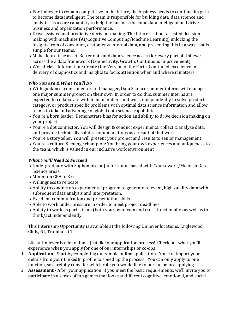- For Unilever to remain competitive in the future, the business needs to continue its path to become data intelligent. The team is responsible for building data, data science and analytics as a core capability to help the business become data intelligent and drive business and organization performance.
- Drive assisted and predictive decision-making. The future is about assisted decisionmaking with machines (AI/Cognitive Computing/Machine Learning) unlocking the insights from of consumer, customer & internal data, and presenting this in a way that is simple for our teams.
- Make data a true asset. Better data and data science access for every part of Unilever, across the 3 data framework (Connectivity, Growth, Continuous Improvement).
- World-class Information: Create One Version of the Facts. Continued excellence in delivery of diagnostics and insights to focus attention when and where it matters.

# *Who You Are & What You'll Do*

- With guidance from a mentor and manager, Data Science summer interns will manage one major summer project on their own. In order to do this, summer interns are expected to collaborate with team members and work independently to solve product, category, or product specific problems with optimal data science information and allow teams to take full advantage of global data science capabilities.
- You're a born leader: Demonstrate bias for action and ability to drive decision making on your project.
- You're a dot connector: You will design & conduct experiments, collect & analyze data, and provide technically solid recommendations as a result of that work
- You're a storyteller: You will present your project and results to senior management
- You're a culture & change champion: You bring your own experiences and uniqueness to the team, which is valued in our inclusive work environment

# *What You'll Need to Succeed*

- Undergraduate with Sophomore or Junior status based with Coursework/Major in Data Science areas.
- Minimum GPA of 3.0
- Willingness to relocate
- Ability to conduct an experimental program to generate relevant, high-quality data with subsequent data analysis and interpretation.
- Excellent communication and presentation skills
- Able to work under pressure in order to meet project deadlines
- Ability to work as part a team (both your own team and cross-functionally) as well as to think/act independently

This Internship Opportunity is available at the following Unilever locations: Englewood Cliffs, NJ, Trumbull, CT

Life at Unilever is a lot of fun – just like our application process! Check out what you'll experience when you apply for one of our internships or co-ops:

- 1. **Application -** Start by completing our simple online application. You can import your details from your LinkedIn profile to speed up the process. You can only apply to one function, so carefully consider which role you would like to pursue before applying.
- 2. **Assessment -** After your application, if you meet the basic requirements, we'll invite you to participate in a series of fun games that looks at different cognitive, emotional, and social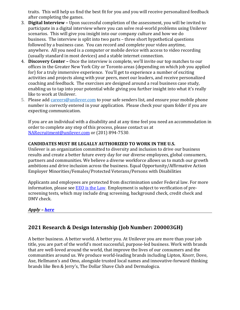traits. This will help us find the best fit for you and you will receive personalized feedback after completing the games.

- 3. **Digital Interview –** Upon successful completion of the assessment, you will be invited to participate in a digital interview where you can solve real-world problems using Unilever scenarios. This will give you insight into our company culture and how we do business. The interview is split into two parts – three short hypothetical questions followed by a business case. You can record and complete your video anytime, anywhere. All you need is a computer or mobile device with access to video recording (usually standard in most devices) and a stable internet connection.
- 4. **Discovery Center –** Once the interview is complete, we'll invite our top matches to our offices in the Greater New York City or Toronto areas (depending on which job you applied for) for a truly immersive experience. You'll get to experience a number of exciting activities and projects along with your peers, meet our leaders, and receive personalized coaching and feedback. The exercises are designed around a real business case study, enabling us to tap into your potential while giving you further insight into what it's really like to work at Unilever.
- 5. Please add [careers@unilever.com](mailto:careers@unilever.com) to your safe senders list, and ensure your mobile phone number is correctly entered in your application. Please check your spam folder if you are expecting communication.

If you are an individual with a disability and at any time feel you need an accommodation in order to complete any step of this process, please contact us at [NARecruitment@unilever.com](mailto:NARecruitment@unilever.com) or (201) 894-7530.

# **CANDIDATES MUST BE LEGALLY AUTHORIZED TO WORK IN THE U.S.**

Unilever is an organization committed to diversity and inclusion to drive our business results and create a better future every day for our diverse employees, global consumers, partners and communities. We believe a diverse workforce allows us to match our growth ambitions and drive inclusion across the business. Equal Opportunity/Affirmative Action Employer Minorities/Females/Protected Veterans/Persons with Disabilities

Applicants and employees are protected from discrimination under Federal law. For more information, please see EEO is the [Law.](https://www.eeoc.gov/employers/upload/poster_screen_reader_optimized.pdf) Employment is subject to verification of prescreening tests, which may include drug screening, background check, credit check and DMV check.

*Apply – [here](https://unilever.taleo.net/careersection/iam/accessmanagement/login.jsf?lang=en&redirectionURI=https%3A%2F%2Funilever.taleo.net%2Fcareersection%2Fapplication.jss%3Flang%3Den%26type%3D1%26csNo%3D10040%26portal%3D6170030171%26reqNo%3D1129675%26isOnLogoutPage%3Dtrue&TARGET=https%3A%2F%2Funilever.taleo.net%2Fcareersection%2Fapplication.jss%3Flang%3Den%26type%3D1%26csNo%3D10040%26portal%3D6170030171%26reqNo%3D1129675%26isOnLogoutPage%3Dtrue)*

# <span id="page-9-0"></span>**2021 Research & Design Internship (Job Number: 200003GH)**

A better business. A better world. A better you. At Unilever you are more than your job title, you are part of the world's most successful, purpose-led business. Work with brands that are well-loved around the world, that improve the lives of our consumers and the communities around us. We produce world-leading brands including Lipton, Knorr, Dove, Axe, Hellmann's and Omo, alongside trusted local names and innovative-forward thinking brands like Ben & Jerry's, The Dollar Shave Club and Dermalogica.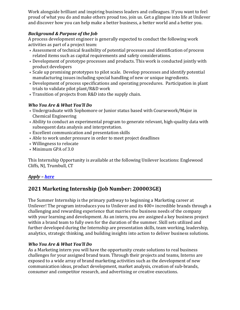Work alongside brilliant and inspiring business leaders and colleagues. If you want to feel proud of what you do and make others proud too, join us. Get a glimpse into life at Unilever and discover how you can help make a better business, a better world and a better you.

# *Background & Purpose of the Job*

A process development engineer is generally expected to conduct the following work activities as part of a project team:

- Assessment of technical feasibility of potential processes and identification of process related items such as capital requirements and safety considerations.
- Development of prototype processes and products. This work is conducted jointly with product developers
- Scale up promising prototypes to pilot scale. Develop processes and identify potential manufacturing issues including special handling of new or unique ingredients.
- Development of process specifications and operating procedures. Participation in plant trials to validate pilot plant/R&D work
- Transition of projects from R&D into the supply chain.

# *Who You Are & What You'll Do*

- Undergraduate with Sophomore or Junior status based with Coursework/Major in Chemical Engineering
- Ability to conduct an experimental program to generate relevant, high-quality data with subsequent data analysis and interpretation.
- Excellent communication and presentation skills
- Able to work under pressure in order to meet project deadlines
- Willingness to relocate
- Minimum GPA of 3.0

This Internship Opportunity is available at the following Unilever locations: Englewood Cliffs, NJ, Trumbull, CT

# *Apply – [here](https://unilever.taleo.net/careersection/iam/accessmanagement/login.jsf?lang=en&redirectionURI=https%3A%2F%2Funilever.taleo.net%2Fcareersection%2Fapplication.jss%3Flang%3Den%26type%3D1%26csNo%3D10040%26portal%3D6170030171%26reqNo%3D1129675%26isOnLogoutPage%3Dtrue&TARGET=https%3A%2F%2Funilever.taleo.net%2Fcareersection%2Fapplication.jss%3Flang%3Den%26type%3D1%26csNo%3D10040%26portal%3D6170030171%26reqNo%3D1129675%26isOnLogoutPage%3Dtrue)*

# <span id="page-10-0"></span>**2021 Marketing Internship (Job Number: 200003GE)**

The Summer Internship is the primary pathway to beginning a Marketing career at Unilever! The program introduces you to Unilever and its 400+ incredible brands through a challenging and rewarding experience that marries the business needs of the company with your learning and development. As an intern, you are assigned a key business project within a brand team to fully own for the duration of the summer. Skill sets utilized and further developed during the Internship are presentation skills, team working, leadership, analytics, strategic thinking, and building insights into action to deliver business solutions.

# *Who You Are & What You'll Do*

As a Marketing intern you will have the opportunity create solutions to real business challenges for your assigned brand team. Through their projects and teams, Interns are exposed to a wide array of brand marketing activities such as the development of new communication ideas, product development, market analysis, creation of sub-brands, consumer and competitor research, and advertising or creative executions.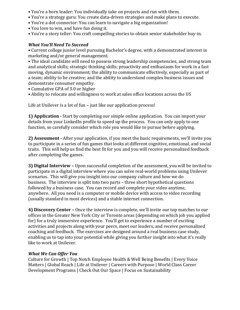- You're a born leader: You individually take on projects and run with them.
- You're a strategy guru: You create data-driven strategies and make plans to execute.
- You're a dot connector: You can learn to navigate a big organization!
- You love to win, and have fun doing it.
- You're a story teller: You craft compelling stories to obtain senior stakeholder buy-in.

#### *What You'll Need To Succeed*

• Current college junior level pursuing Bachelor's degree, with a demonstrated interest in marketing and/or general management.

• The ideal candidate will need to possess strong leadership competencies, and strong team and analytical skills; strategic thinking skills; proactivity and enthusiasm for work in a fast moving, dynamic environment; the ability to communicate effectively, especially as part of a team; ability to be creative; and the ability to understand complex business issues and demonstrate consumer empathy.

- Cumulative GPA of 3.0 or higher
- Ability to relocate and willingness to work at sales office locations across the US

Life at Unilever is a lot of fun – just like our application process!

**1) Application -** Start by completing our simple online application. You can import your details from your LinkedIn profile to speed up the process. You can only apply to one function, so carefully consider which role you would like to pursue before applying.

**2) Assessment -** After your application, if you meet the basic requirements, we'll invite you to participate in a series of fun games that looks at different cognitive, emotional, and social traits. This will help us find the best fit for you and you will receive personalized feedback after completing the games.

**3) Digital Interview –** Upon successful completion of the assessment, you will be invited to participate in a digital interview where you can solve real-world problems using Unilever scenarios. This will give you insight into our company culture and how we do business. The interview is split into two parts – three short hypothetical questions followed by a business case. You can record and complete your video anytime, anywhere. All you need is a computer or mobile device with access to video recording (usually standard in most devices) and a stable internet connection.

**4) Discovery Center –** Once the interview is complete, we'll invite our top matches to our offices in the Greater New York City or Toronto areas (depending on which job you applied for) for a truly immersive experience. You'll get to experience a number of exciting activities and projects along with your peers, meet our leaders, and receive personalized coaching and feedback. The exercises are designed around a real business case study, enabling us to tap into your potential while giving you further insight into what it's really like to work at Unilever.

#### *What We Can Offer You*

Culture for Growth | Top Notch Employee Health & Well Being Benefits | Every Voice Matters | Global Reach | Life at Unilever | Careers with Purpose | World Class Career Development Programs | Check Out Our Space | Focus on Sustainability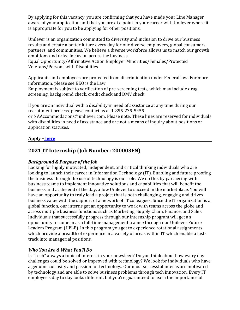By applying for this vacancy, you are confirming that you have made your Line Manager aware of your application and that you are at a point in your career with Unilever where it is appropriate for you to be applying for other positions.

Unilever is an organization committed to diversity and inclusion to drive our business results and create a better future every day for our diverse employees, global consumers, partners, and communities. We believe a diverse workforce allows us to match our growth ambitions and drive inclusion across the business.

Equal Opportunity/Affirmative Action Employer Minorities/Females/Protected Veterans/Persons with Disabilities

Applicants and employees are protected from discrimination under Federal law. For more information, please see EEO is the Law

Employment is subject to verification of pre-screening tests, which may include drug screening, background check, credit check and DMV check.

If you are an individual with a disability in need of assistance at any time during our recruitment process, please contact us at 1-855-239-5459

or NAAccommodations@unliever.com. Please note: These lines are reserved for individuals with disabilities in need of assistance and are not a means of inquiry about positions or application statuses.

# <span id="page-12-0"></span>**Apply – [here](https://unilever.taleo.net/careersection/iam/accessmanagement/login.jsf?lang=en&redirectionURI=https%3A%2F%2Funilever.taleo.net%2Fcareersection%2Fapplication.jss%3Flang%3Den%26type%3D1%26csNo%3D10040%26portal%3D6170030171%26reqNo%3D1129675%26isOnLogoutPage%3Dtrue&TARGET=https%3A%2F%2Funilever.taleo.net%2Fcareersection%2Fapplication.jss%3Flang%3Den%26type%3D1%26csNo%3D10040%26portal%3D6170030171%26reqNo%3D1129675%26isOnLogoutPage%3Dtrue)**

# **2021 IT Internship (Job Number: 200003FN)**

# *Background & Purpose of the Job*

Looking for highly motivated, independent, and critical thinking individuals who are looking to launch their career in Information Technology (IT). Enabling and future proofing the business through the use of technology is our role. We do this by partnering with business teams to implement innovative solutions and capabilities that will benefit the business and at the end of the day, allow Unilever to succeed in the marketplace. You will have an opportunity to truly lead a project that is both challenging, engaging and drives business value with the support of a network of IT colleagues. Since the IT organization is a global function, our interns get an opportunity to work with teams across the globe and across multiple business functions such as Marketing, Supply Chain, Finance, and Sales. Individuals that successfully progress through our internship program will get an opportunity to come in as a full-time management trainee through our Unilever Future Leaders Program (UFLP). In this program you get to experience rotational assignments which provide a breadth of experience in a variety of areas within IT which enable a fasttrack into managerial positions.

# *Who You Are & What You'll Do*

Is "Tech" always a topic of interest in your newsfeed? Do you think about how every day challenges could be solved or improved with technology? We look for individuals who have a genuine curiosity and passion for technology. Our most successful interns are motivated by technology and are able to solve business problems through tech innovation. Every IT employee's day to day looks different, but you're guaranteed to learn the importance of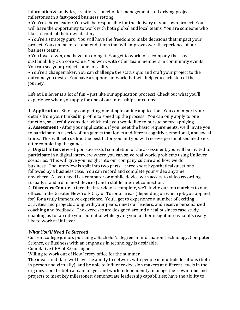information & analytics, creativity, stakeholder management, and driving project milestones in a fast-paced business setting.

• You're a born leader: You will be responsible for the delivery of your own project. You will have the opportunity to work with both global and local teams. You are someone who likes to control their own destiny.

• You're a strategy guru: You will have the freedom to make decisions that impact your project. You can make recommendations that will improve overall experience of our business teams.

• You love to win, and have fun doing it: You get to work for a company that has sustainability as a core value. You work with other team members in community events. You can see your project come to reality.

• You're a changemaker: You can challenge the status quo and craft your project to the outcome you desire. You have a support network that will help you each step of the journey.

Life at Unilever is a lot of fun – just like our application process! Check out what you'll experience when you apply for one of our internships or co-ops:

1. **Application** - Start by completing our simple online application. You can import your details from your LinkedIn profile to speed up the process. You can only apply to one function, so carefully consider which role you would like to pursue before applying. 2**. Assessment** - After your application, if you meet the basic requirements, we'll invite you to participate in a series of fun games that looks at different cognitive, emotional, and social traits. This will help us find the best fit for you and you will receive personalized feedback after completing the games.

3. **Digital Interview** – Upon successful completion of the assessment, you will be invited to participate in a digital interview where you can solve real-world problems using Unilever scenarios. This will give you insight into our company culture and how we do business. The interview is split into two parts – three short hypothetical questions followed by a business case. You can record and complete your video anytime, anywhere. All you need is a computer or mobile device with access to video recording (usually standard in most devices) and a stable internet connection.

4. **Discovery Center** – Once the interview is complete, we'll invite our top matches to our offices in the Greater New York City or Toronto areas (depending on which job you applied for) for a truly immersive experience. You'll get to experience a number of exciting activities and projects along with your peers, meet our leaders, and receive personalized coaching and feedback. The exercises are designed around a real business case study, enabling us to tap into your potential while giving you further insight into what it's really like to work at Unilever.

#### *What You'll Need To Succeed*

Current college juniors pursuing a Bachelor's degree in Information Technology, Computer Science, or Business with an emphasis in technology is desirable.

Cumulative GPA of 3.0 or higher

Willing to work out of New Jersey office for the summer

The ideal candidate will have the ability to network with people in multiple locations (both in person and virtually), and be able to influence decision makers at different levels in the organization; be both a team player and work independently; manage their own time and projects to meet key milestones; demonstrate leadership capabilities; have the ability to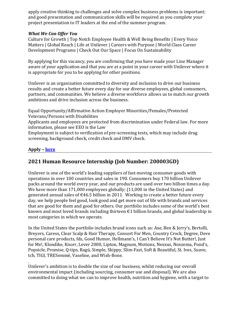apply creative thinking to challenges and solve complex business problems is important; and good presentation and communication skills will be required as you complete your project presentation to IT leaders at the end of the summer program.

# *What We Can Offer You*

Culture for Growth | Top Notch Employee Health & Well Being Benefits | Every Voice Matters | Global Reach | Life at Unilever | Careers with Purpose | World Class Career Development Programs | Check Out Our Space | Focus On Sustainability

By applying for this vacancy, you are confirming that you have made your Line Manager aware of your application and that you are at a point in your career with Unilever where it is appropriate for you to be applying for other positions.

Unilever is an organization committed to diversity and inclusion to drive our business results and create a better future every day for our diverse employees, global consumers, partners, and communities. We believe a diverse workforce allows us to match our growth ambitions and drive inclusion across the business.

Equal Opportunity/Affirmative Action Employer Minorities/Females/Protected Veterans/Persons with Disabilities

Applicants and employees are protected from discrimination under Federal law. For more information, please see EEO is the Law

Employment is subject to verification of pre-screening tests, which may include drug screening, background check, credit check and DMV check.

# <span id="page-14-0"></span>**Apply – [here](https://unilever.taleo.net/careersection/iam/accessmanagement/login.jsf?lang=en&redirectionURI=https%3A%2F%2Funilever.taleo.net%2Fcareersection%2Fapplication.jss%3Flang%3Den%26type%3D1%26csNo%3D10040%26portal%3D6170030171%26reqNo%3D1129675%26isOnLogoutPage%3Dtrue&TARGET=https%3A%2F%2Funilever.taleo.net%2Fcareersection%2Fapplication.jss%3Flang%3Den%26type%3D1%26csNo%3D10040%26portal%3D6170030171%26reqNo%3D1129675%26isOnLogoutPage%3Dtrue)**

# **2021 Human Resource Internship (Job Number: 200003GD)**

Unilever is one of the world's leading suppliers of fast-moving consumer goods with operations in over 100 countries and sales in 190. Consumers buy 170 billion Unilever packs around the world every year, and our products are used over two billion times a day. We have more than 171,000 employees globally; (11,000 in the United States) and generated annual sales of  $\epsilon$ 46.5 billion in 2011. Working to create a better future every day, we help people feel good, look good and get more out of life with brands and services that are good for them and good for others. Our portfolio includes some of the world's best known and most loved brands including thirteen  $\epsilon$  1 billion brands, and global leadership in most categories in which we operate.

In the United States the portfolio includes brand icons such as: Axe, Ben & Jerry's, Bertolli, Breyers, Caress, Clear Scalp & Hair Therapy, Consort For Men, Country Crock, Degree, Dove personal care products, fds, Good Humor, Hellmann's, I Can't Believe It's Not Butter!, Just for Me!, Klondike, Knorr, Lever 2000, Lipton, Magnum, Motions, Nexxus, Noxzema, Pond's, Popsicle, Promise, Q-tips, Ragú, Simple, Skippy, Slim-Fast, Soft & Beautiful, St. Ives, Suave, tcb, TIGI, TRESemmé, Vaseline, and Wish-Bone.

Unilever's ambition is to double the size of our business, whilst reducing our overall environmental impact (including sourcing, consumer use and disposal). We are also committed to doing what we can to improve health, nutrition and hygiene, with a target to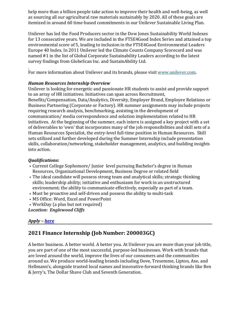help more than a billion people take action to improve their health and well-being, as well as sourcing all our agricultural raw materials sustainably by 2020. All of these goals are itemized in around 60 time-based commitments in our Unilever Sustainable Living Plan.

Unilever has led the Food Producers sector in the Dow Jones Sustainability World Indexes for 13 consecutive years. We are included in the FTSE4Good Index Series and attained a top environmental score of 5, leading to inclusion in the FTSE4Good Environmental Leaders Europe 40 Index. In 2011 Unilever led the Climate Counts Company Scorecard and was named #1 in the list of Global Corporate Sustainability Leaders according to the latest survey findings from GlobeScan Inc. and SustainAbility Ltd.

For more information about Unilever and its brands, please visit [www.unilever.com.](http://www.unilever.com/)

#### *Human Resources Internship Overview*

Unilever is looking for energetic and passionate HR students to assist and provide support to an array of HR initiatives. Initiatives can span across Recruitment,

Benefits/Compensation, Data/Analytics, Diversity, Employer Brand, Employee Relations or Business Partnering (Corporate or Factory). HR summer assignments may include projects requiring research analysis, benchmarking, assisting in the development of communication/ media correspondence and solution implementation related to HR initiatives. At the beginning of the summer, each intern is assigned a key project with a set of deliverables to 'own' that incorporates many of the job responsibilities and skill sets of a Human Resources Specialist, the entry-level full-time position in Human Resources. Skill sets utilized and further developed during the Summer Internship include presentation skills, collaboration/networking, stakeholder management, analytics, and building insights into action.

# *Qualifications:*

- Current College Sophomore/ Junior level pursuing Bachelor's degree in Human Resources, Organizational Development, Business Degree or related field
- The ideal candidate will possess strong team and analytical skills; strategic thinking skills; leadership ability; initiative and enthusiasm for work in an unstructured environment; the ability to communicate effectively, especially as part of a team.
- Must be proactive and self-driven and possess the ability to multi-task
- MS Office: Word, Excel and PowerPoint
- WorkDay (a plus but not required)

*Location: Englewood Cliffs*

# *Apply – [here](https://unilever.taleo.net/careersection/iam/accessmanagement/login.jsf?lang=en&redirectionURI=https%3A%2F%2Funilever.taleo.net%2Fcareersection%2Fapplication.jss%3Flang%3Den%26type%3D1%26csNo%3D10040%26portal%3D6170030171%26reqNo%3D1129675%26isOnLogoutPage%3Dtrue&TARGET=https%3A%2F%2Funilever.taleo.net%2Fcareersection%2Fapplication.jss%3Flang%3Den%26type%3D1%26csNo%3D10040%26portal%3D6170030171%26reqNo%3D1129675%26isOnLogoutPage%3Dtrue)*

# <span id="page-15-0"></span>**2021 Finance Internship (Job Number: 200003GC)**

A better business. A better world. A better you. At Unilever you are more than your job title, you are part of one of the most successful, purpose-led businesses. Work with brands that are loved around the world, improve the lives of our consumers and the communities around us. We produce world-leading brands including Dove, Tresemme, Lipton, Axe, and Hellmann's, alongside trusted local names and innovative-forward thinking brands like Ben & Jerry's, The Dollar Shave Club and Seventh Generation.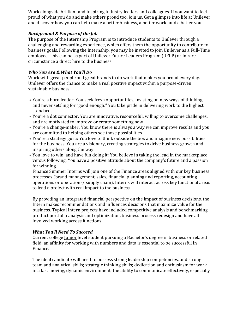Work alongside brilliant and inspiring industry leaders and colleagues. If you want to feel proud of what you do and make others proud too, join us. Get a glimpse into life at Unilever and discover how you can help make a better business, a better world and a better you.

#### *Background & Purpose of the Job*

The purpose of the Internship Program is to introduce students to Unilever through a challenging and rewarding experience, which offers them the opportunity to contribute to business goals. Following the Internship, you may be invited to join Unilever as a Full-Time employee. This can be as part of Unilever Future Leaders Program (UFLP) or in rare circumstance a direct hire to the business.

#### *Who You Are & What You'll Do*

Work with great people and great brands to do work that makes you proud every day. Unilever offers the chance to make a real positive impact within a purpose-driven sustainable business.

- You're a born leader: You seek fresh opportunities, insisting on new ways of thinking, and never settling for "good enough." You take pride in delivering work to the highest standards.
- You're a dot connector: You are innovative, resourceful, willing to overcome challenges, and are motivated to improve or create something new.
- You're a change-maker: You know there is always a way we can improve results and you are committed to helping others see those possibilities.
- You're a strategy guru: You love to think outside the box and imagine new possibilities for the business. You are a visionary, creating strategies to drive business growth and inspiring others along the way.
- You love to win, and have fun doing it: You believe in taking the lead in the marketplace versus following. You have a positive attitude about the company's future and a passion for winning.

Finance Summer Interns will join one of the Finance areas aligned with our key business processes (brand management, sales, financial planning and reporting, accounting operations or operations/ supply chain). Interns will interact across key functional areas to lead a project with real impact to the business.

By providing an integrated financial perspective on the impact of business decisions, the Intern makes recommendations and influences decisions that maximize value for the business. Typical Intern projects have included competitive analysis and benchmarking, product portfolio analysis and optimization, business process redesign and have all involved working across functions.

#### *What You'll Need To Succeed*

Current college Junior level student pursuing a Bachelor's degree in business or related field; an affinity for working with numbers and data is essential to be successful in Finance.

The ideal candidate will need to possess strong leadership competencies, and strong team and analytical skills; strategic thinking skills; dedication and enthusiasm for work in a fast moving, dynamic environment; the ability to communicate effectively, especially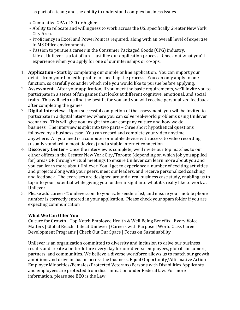as part of a team; and the ability to understand complex business issues.

- Cumulative GPA of 3.0 or higher.
- Ability to relocate and willingness to work across the US, specifically Greater New York City Area.
- Proficiency in Excel and PowerPoint is required; along with an overall level of expertise in MS Office environments.
- Passion to pursue a career in the Consumer Packaged Goods (CPG) industry. Life at Unilever is a lot of fun – just like our application process! Check out what you'll experience when you apply for one of our internships or co-ops:
- 1. **Application** Start by completing our simple online application. You can import your details from your LinkedIn profile to speed up the process. You can only apply to one function, so carefully consider which role you would like to pursue before applying.
- 2. **Assessment** After your application, if you meet the basic requirements, we'll invite you to participate in a series of fun games that looks at different cognitive, emotional, and social traits. This will help us find the best fit for you and you will receive personalized feedback after completing the games.
- 3. **Digital Interview** Upon successful completion of the assessment, you will be invited to participate in a digital interview where you can solve real-world problems using Unilever scenarios. This will give you insight into our company culture and how we do business. The interview is split into two parts – three short hypothetical questions followed by a business case. You can record and complete your video anytime, anywhere. All you need is a computer or mobile device with access to video recording (usually standard in most devices) and a stable internet connection.
- 4. **Discovery Center** Once the interview is complete, we'll invite our top matches to our either offices in the Greater New York City/Toronto (depending on which job you applied for) areas OR through virtual meetings to ensure Unilever can learn more about you and you can learn more about Unilever. You'll get to experience a number of exciting activities and projects along with your peers, meet our leaders, and receive personalized coaching and feedback. The exercises are designed around a real business case study, enabling us to tap into your potential while giving you further insight into what it's really like to work at Unilever.
- 5. Please add careers@unilever.com to your safe senders list, and ensure your mobile phone number is correctly entered in your application. Please check your spam folder if you are expecting communication

# **What We Can Offer You**

Culture for Growth | Top Notch Employee Health & Well Being Benefits | Every Voice Matters | Global Reach | Life at Unilever | Careers with Purpose | World Class Career Development Programs | Check Out Our Space | Focus on Sustainability

Unilever is an organization committed to diversity and inclusion to drive our business results and create a better future every day for our diverse employees, global consumers, partners, and communities. We believe a diverse workforce allows us to match our growth ambitions and drive inclusion across the business. Equal Opportunity/Affirmative Action Employer Minorities/Females/Protected Veterans/Persons with Disabilities Applicants and employees are protected from discrimination under Federal law. For more information, please see EEO is the Law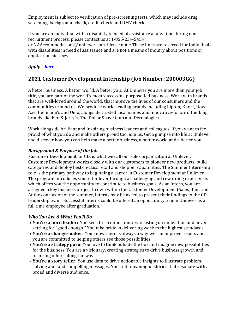Employment is subject to verification of pre-screening tests, which may include drug screening, background check, credit check and DMV check.

If you are an individual with a disability in need of assistance at any time during our recruitment process, please contact us at 1-855-239-5459 or NAAccommodations@unliever.com. Please note: These lines are reserved for individuals with disabilities in need of assistance and are not a means of inquiry about positions or application statuses.

# <span id="page-18-0"></span>*Apply – [here](https://unilever.taleo.net/careersection/iam/accessmanagement/login.jsf?lang=en&redirectionURI=https%3A%2F%2Funilever.taleo.net%2Fcareersection%2Fapplication.jss%3Flang%3Den%26type%3D1%26csNo%3D10040%26portal%3D6170030171%26reqNo%3D1129675%26isOnLogoutPage%3Dtrue&TARGET=https%3A%2F%2Funilever.taleo.net%2Fcareersection%2Fapplication.jss%3Flang%3Den%26type%3D1%26csNo%3D10040%26portal%3D6170030171%26reqNo%3D1129675%26isOnLogoutPage%3Dtrue)*

# **2021 Customer Development Internship (Job Number: 200003GG)**

A better business. A better world. A better you. At Unilever you are more than your job title, you are part of the world's most successful, purpose-led business. Work with brands that are well-loved around the world, that improve the lives of our consumers and the communities around us. We produce world-leading brands including Lipton, Knorr, Dove, Axe, Hellmann's and Omo, alongside trusted local names and innovative-forward thinking brands like Ben & Jerry's, The Dollar Shave Club and Dermalogica.

Work alongside brilliant and inspiring business leaders and colleagues. If you want to feel proud of what you do and make others proud too, join us. Get a glimpse into life at Unilever and discover how you can help make a better business, a better world and a better you.

# *Background & Purpose of the Job*

Customer Development, or CD, is what we call our Sales organization at Unilever. Customer Development works closely with our customers to pioneer new products, build categories and deploy best-in-class retail and shopper capabilities. The Summer Internship role is the primary pathway to beginning a career in Customer Development at Unilever.  The program introduces you to Unilever through a challenging and rewarding experience, which offers you the opportunity to contribute to business goals. As an intern, you are assigned a key business project to own within the Customer Development (Sales) function. At the conclusion of the summer, interns may be asked to present their findings to the CD leadership team. Successful interns could be offered an opportunity to join Unilever as a full time employee after graduation.

# *Who You Are & What You'll Do*

- **You're a born leader:** You seek fresh opportunities, insisting on innovation and never settling for "good enough." You take pride in delivering work to the highest standards.
- **You're a change-maker:** You know there is always a way we can improve results and you are committed to helping others see those possibilities.
- **You're a strategy guru:** You love to think outside the box and imagine new possibilities for the business. You are a visionary, creating strategies to drive business growth and inspiring others along the way.
- **You're a story teller:** You use data to drive actionable insights to illustrate problemsolving and land compelling messages. You craft meaningful stories that resonate with a broad and diverse audience.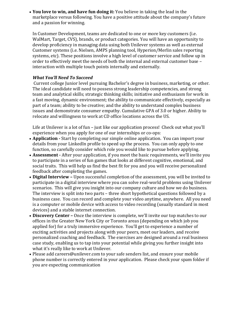• **You love to win, and have fun doing it:** You believe in taking the lead in the marketplace versus following. You have a positive attitude about the company's future and a passion for winning.

In Customer Development, teams are dedicated to one or more key customers (i.e. WalMart, Target, CVS), brands, or product categories. You will have an opportunity to develop proficiency in managing data using both Unilever systems as well as external Customer systems (i.e. Nielsen, AMPS planning tool, Hyperion/Merlin sales reporting systems, etc). These positions involve a high level of customer service and follow up in order to effectively meet the needs of both the internal and external customer base – interaction with multiple touch points internally and externally.

# *What You'll Need To Succeed*

Current college Junior level pursuing Bachelor's degree in business, marketing, or other. The ideal candidate will need to possess strong leadership competencies, and strong team and analytical skills; strategic thinking skills; initiative and enthusiasm for work in a fast moving, dynamic environment; the ability to communicate effectively, especially as part of a team; ability to be creative; and the ability to understand complex business issues and demonstrate consumer empathy. Cumulative GPA of 3.0 or higher. Ability to relocate and willingness to work at CD office locations across the US.

Life at Unilever is a lot of fun – just like our application process! Check out what you'll experience when you apply for one of our internships or co-ops:

- **Application -** Start by completing our simple online application.  You can import your details from your LinkedIn profile to speed up the process.  You can only apply to one function, so carefully consider which role you would like to pursue before applying.
- **Assessment -** After your application, if you meet the basic requirements, we'll invite you to participate in a series of fun games that looks at different cognitive, emotional, and social traits.  This will help us find the best fit for you and you will receive personalized feedback after completing the games.
- **Digital Interview –** Upon successful completion of the assessment, you will be invited to participate in a digital interview where you can solve real-world problems using Unilever scenarios.  This will give you insight into our company culture and how we do business.  The interview is split into two parts – three short hypothetical questions followed by a business case.  You can record and complete your video anytime, anywhere.  All you need is a computer or mobile device with access to video recording (usually standard in most devices) and a stable internet connection.
- **Discovery Center –** Once the interview is complete, we'll invite our top matches to our offices in the Greater New York City or Toronto areas (depending on which job you applied for) for a truly immersive experience.  You'll get to experience a number of exciting activities and projects along with your peers, meet our leaders, and receive personalized coaching and feedback.  The exercises are designed around a real business case study, enabling us to tap into your potential while giving you further insight into what it's really like to work at Unilever.
- Please add careers@unilever.com to your safe senders list, and ensure your mobile phone number is correctly entered in your application.  Please check your spam folder if you are expecting communication